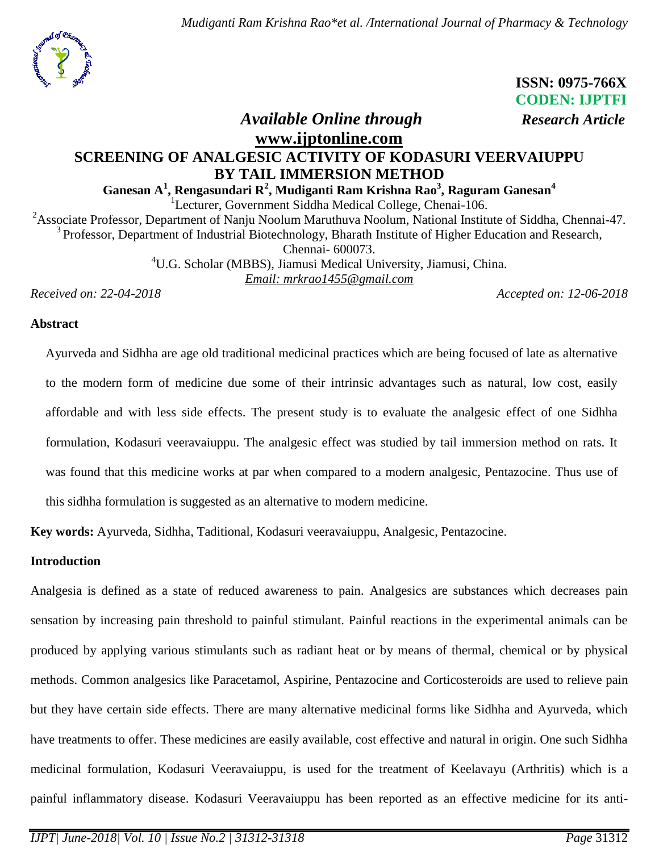*Mudiganti Ram Krishna Rao\*et al. /International Journal of Pharmacy & Technology*



 **ISSN: 0975-766X CODEN: IJPTFI**

# *Available Online through Research Article*

# **[www.ijptonline.com](http://www.ijptonline.com/) SCREENING OF ANALGESIC ACTIVITY OF KODASURI VEERVAIUPPU BY TAIL IMMERSION METHOD**

# **Ganesan A<sup>1</sup> , Rengasundari R<sup>2</sup> , Mudiganti Ram Krishna Rao<sup>3</sup> , Raguram Ganesan<sup>4</sup>**

<sup>1</sup>Lecturer, Government Siddha Medical College, Chenai-106.

<sup>2</sup>Associate Professor, Department of Nanju Noolum Maruthuva Noolum, National Institute of Siddha, Chennai-47. <sup>3</sup> Professor, Department of Industrial Biotechnology, Bharath Institute of Higher Education and Research, Chennai- 600073.

> <sup>4</sup>U.G. Scholar (MBBS), Jiamusi Medical University, Jiamusi, China. *Email: [mrkrao1455@gmail.com](mailto:mrkrao1455@gmail.com)*

*Received on: 22-04-2018 Accepted on: 12-06-2018*

#### **Abstract**

Ayurveda and Sidhha are age old traditional medicinal practices which are being focused of late as alternative to the modern form of medicine due some of their intrinsic advantages such as natural, low cost, easily affordable and with less side effects. The present study is to evaluate the analgesic effect of one Sidhha formulation, Kodasuri veeravaiuppu. The analgesic effect was studied by tail immersion method on rats. It was found that this medicine works at par when compared to a modern analgesic, Pentazocine. Thus use of this sidhha formulation is suggested as an alternative to modern medicine.

**Key words:** Ayurveda, Sidhha, Taditional, Kodasuri veeravaiuppu, Analgesic, Pentazocine.

#### **Introduction**

Analgesia is defined as a state of reduced awareness to pain. Analgesics are substances which decreases pain sensation by increasing pain threshold to painful stimulant. Painful reactions in the experimental animals can be produced by applying various stimulants such as radiant heat or by means of thermal, chemical or by physical methods. Common analgesics like Paracetamol, Aspirine, Pentazocine and Corticosteroids are used to relieve pain but they have certain side effects. There are many alternative medicinal forms like Sidhha and Ayurveda, which have treatments to offer. These medicines are easily available, cost effective and natural in origin. One such Sidhha medicinal formulation, Kodasuri Veeravaiuppu, is used for the treatment of Keelavayu (Arthritis) which is a painful inflammatory disease. Kodasuri Veeravaiuppu has been reported as an effective medicine for its anti-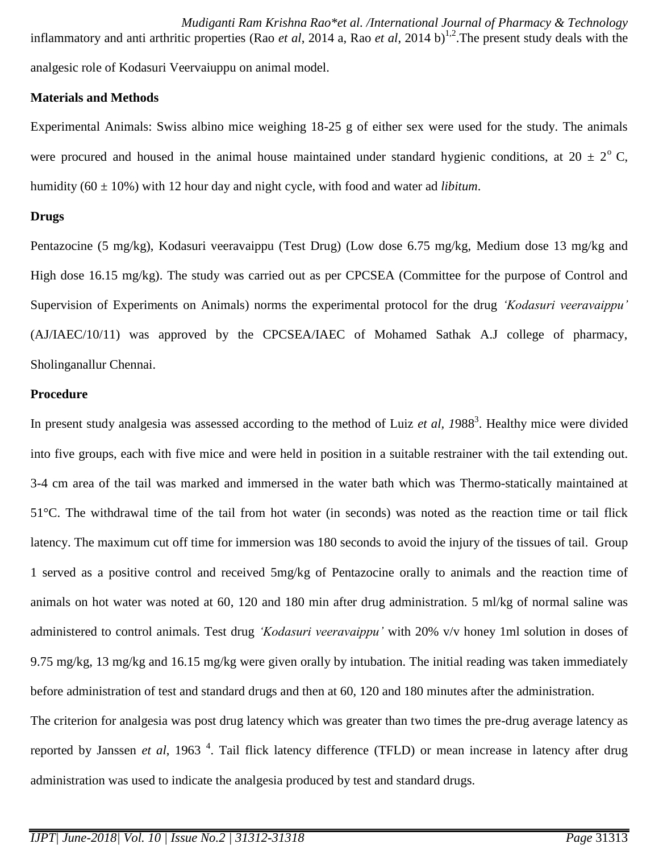*Mudiganti Ram Krishna Rao\*et al. /International Journal of Pharmacy & Technology* inflammatory and anti arthritic properties (Rao *et al*, 2014 a, Rao *et al*, 2014 b) 1,2 .The present study deals with the analgesic role of Kodasuri Veervaiuppu on animal model.

## **Materials and Methods**

Experimental Animals: Swiss albino mice weighing 18-25 g of either sex were used for the study. The animals were procured and housed in the animal house maintained under standard hygienic conditions, at  $20 \pm 2^{\circ}$  C, humidity (60 ± 10%) with 12 hour day and night cycle, with food and water ad *libitum*.

## **Drugs**

Pentazocine (5 mg/kg), Kodasuri veeravaippu (Test Drug) (Low dose 6.75 mg/kg, Medium dose 13 mg/kg and High dose 16.15 mg/kg). The study was carried out as per CPCSEA (Committee for the purpose of Control and Supervision of Experiments on Animals) norms the experimental protocol for the drug *'Kodasuri veeravaippu'* (AJ/IAEC/10/11) was approved by the CPCSEA/IAEC of Mohamed Sathak A.J college of pharmacy, Sholinganallur Chennai.

## **Procedure**

In present study analgesia was assessed according to the method of Luiz *et al, 1988*<sup>3</sup>. Healthy mice were divided into five groups, each with five mice and were held in position in a suitable restrainer with the tail extending out. 3-4 cm area of the tail was marked and immersed in the water bath which was Thermo-statically maintained at 51°C. The withdrawal time of the tail from hot water (in seconds) was noted as the reaction time or tail flick latency. The maximum cut off time for immersion was 180 seconds to avoid the injury of the tissues of tail. Group 1 served as a positive control and received 5mg/kg of Pentazocine orally to animals and the reaction time of animals on hot water was noted at 60, 120 and 180 min after drug administration. 5 ml/kg of normal saline was administered to control animals. Test drug *'Kodasuri veeravaippu'* with 20% v/v honey 1ml solution in doses of 9.75 mg/kg, 13 mg/kg and 16.15 mg/kg were given orally by intubation. The initial reading was taken immediately before administration of test and standard drugs and then at 60, 120 and 180 minutes after the administration.

The criterion for analgesia was post drug latency which was greater than two times the pre-drug average latency as reported by Janssen *et al*, 1963<sup>4</sup>. Tail flick latency difference (TFLD) or mean increase in latency after drug administration was used to indicate the analgesia produced by test and standard drugs.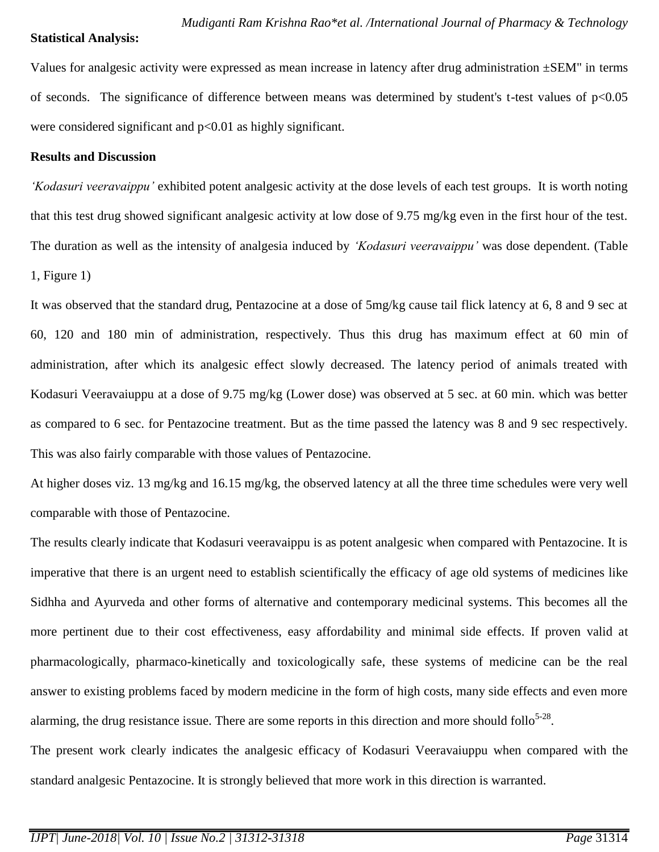#### **Statistical Analysis:**

Values for analgesic activity were expressed as mean increase in latency after drug administration  $\pm$ SEM" in terms of seconds. The significance of difference between means was determined by student's t-test values of p<0.05 were considered significant and p<0.01 as highly significant.

#### **Results and Discussion**

*'Kodasuri veeravaippu'* exhibited potent analgesic activity at the dose levels of each test groups. It is worth noting that this test drug showed significant analgesic activity at low dose of 9.75 mg/kg even in the first hour of the test. The duration as well as the intensity of analgesia induced by *'Kodasuri veeravaippu'* was dose dependent. (Table 1, Figure 1)

It was observed that the standard drug, Pentazocine at a dose of 5mg/kg cause tail flick latency at 6, 8 and 9 sec at 60, 120 and 180 min of administration, respectively. Thus this drug has maximum effect at 60 min of administration, after which its analgesic effect slowly decreased. The latency period of animals treated with Kodasuri Veeravaiuppu at a dose of 9.75 mg/kg (Lower dose) was observed at 5 sec. at 60 min. which was better as compared to 6 sec. for Pentazocine treatment. But as the time passed the latency was 8 and 9 sec respectively. This was also fairly comparable with those values of Pentazocine.

At higher doses viz. 13 mg/kg and 16.15 mg/kg, the observed latency at all the three time schedules were very well comparable with those of Pentazocine.

The results clearly indicate that Kodasuri veeravaippu is as potent analgesic when compared with Pentazocine. It is imperative that there is an urgent need to establish scientifically the efficacy of age old systems of medicines like Sidhha and Ayurveda and other forms of alternative and contemporary medicinal systems. This becomes all the more pertinent due to their cost effectiveness, easy affordability and minimal side effects. If proven valid at pharmacologically, pharmaco-kinetically and toxicologically safe, these systems of medicine can be the real answer to existing problems faced by modern medicine in the form of high costs, many side effects and even more alarming, the drug resistance issue. There are some reports in this direction and more should follo<sup>5-28</sup>.

The present work clearly indicates the analgesic efficacy of Kodasuri Veeravaiuppu when compared with the standard analgesic Pentazocine. It is strongly believed that more work in this direction is warranted.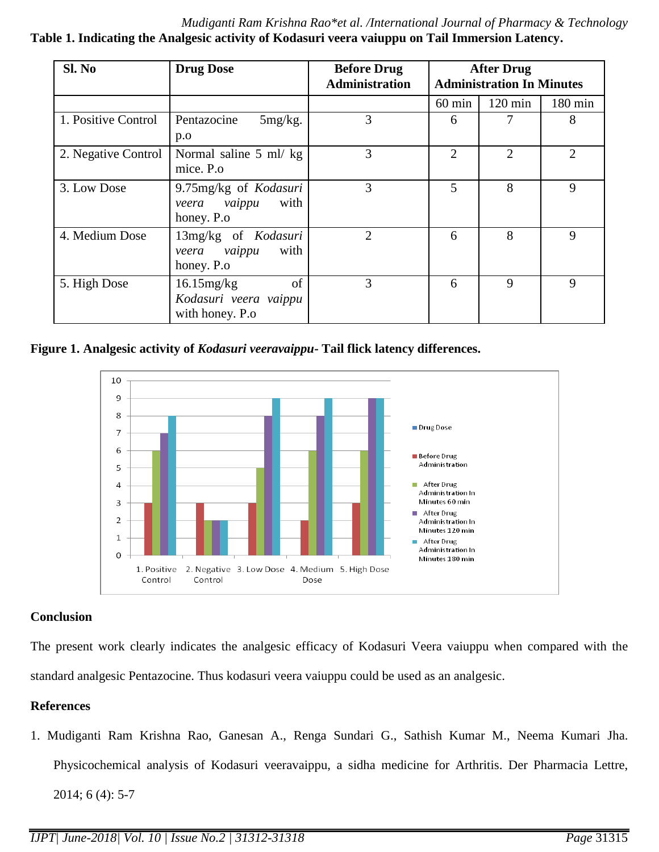*Mudiganti Ram Krishna Rao\*et al. /International Journal of Pharmacy & Technology* **Table 1. Indicating the Analgesic activity of Kodasuri veera vaiuppu on Tail Immersion Latency.**

| Sl. No              | <b>Drug Dose</b>                                                 | <b>Before Drug</b><br><b>Administration</b> | <b>After Drug</b><br><b>Administration In Minutes</b> |                   |                   |
|---------------------|------------------------------------------------------------------|---------------------------------------------|-------------------------------------------------------|-------------------|-------------------|
|                     |                                                                  |                                             | $60 \text{ min}$                                      | $120 \text{ min}$ | $180 \text{ min}$ |
| 1. Positive Control | Pentazocine<br>$5mg/kg$ .<br>p.o                                 | 3                                           | 6                                                     |                   | 8                 |
| 2. Negative Control | Normal saline 5 ml/ kg<br>mice. P.o.                             | 3                                           | 2                                                     | $\overline{2}$    | $\overline{2}$    |
| 3. Low Dose         | 9.75mg/kg of Kodasuri<br>vaippu<br>with<br>veera<br>honey. P.o   | 3                                           | 5                                                     | 8                 | 9                 |
| 4. Medium Dose      | 13mg/kg of Kodasuri<br>with<br>vaippu<br>veera<br>honey. P.o.    | 2                                           | 6                                                     | 8                 | 9                 |
| 5. High Dose        | of<br>$16.15$ mg/kg<br>Kodasuri veera vaippu<br>with honey. P.o. | 3                                           | 6                                                     | 9                 | 9                 |

**Figure 1. Analgesic activity of** *Kodasuri veeravaippu***- Tail flick latency differences.**



# **Conclusion**

The present work clearly indicates the analgesic efficacy of Kodasuri Veera vaiuppu when compared with the standard analgesic Pentazocine. Thus kodasuri veera vaiuppu could be used as an analgesic.

# **References**

1. Mudiganti Ram Krishna Rao, Ganesan A., Renga Sundari G., Sathish Kumar M., Neema Kumari Jha. Physicochemical analysis of Kodasuri veeravaippu, a sidha medicine for Arthritis. Der Pharmacia Lettre, 2014; 6 (4): 5-7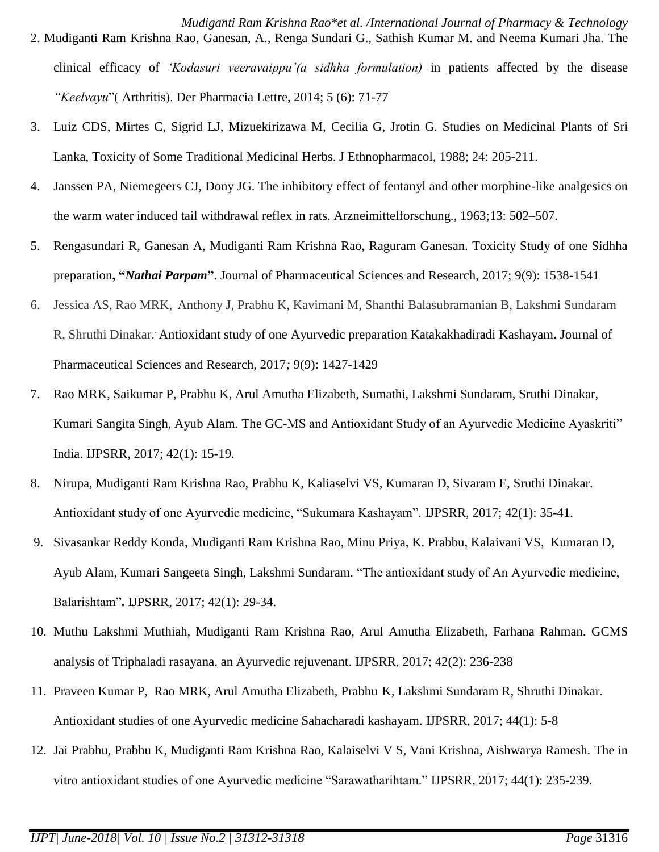*Mudiganti Ram Krishna Rao\*et al. /International Journal of Pharmacy & Technology*

- 2. Mudiganti Ram Krishna Rao, Ganesan, A., Renga Sundari G., Sathish Kumar M. and Neema Kumari Jha. The clinical efficacy of *'Kodasuri veeravaippu'(a sidhha formulation)* in patients affected by the disease *"Keelvayu*"( Arthritis). Der Pharmacia Lettre, 2014; 5 (6): 71-77
- 3. Luiz CDS, Mirtes C, Sigrid LJ, Mizuekirizawa M, Cecilia G, Jrotin G. Studies on Medicinal Plants of Sri Lanka, Toxicity of Some Traditional Medicinal Herbs. J Ethnopharmacol, 1988; 24: 205-211.
- 4. Janssen PA, Niemegeers CJ, Dony JG. The inhibitory effect of fentanyl and other morphine-like analgesics on the warm water induced tail withdrawal reflex in rats. Arzneimittelforschung.*,* 1963;13: 502–507.
- 5. Rengasundari R, Ganesan A, Mudiganti Ram Krishna Rao, Raguram Ganesan. Toxicity Study of one Sidhha preparation**, "***Nathai Parpam***"**. Journal of Pharmaceutical Sciences and Research, 2017; 9(9): 1538-1541
- 6. Jessica AS, Rao MRK, Anthony J, Prabhu K, Kavimani M, Shanthi Balasubramanian B, Lakshmi Sundaram R, Shruthi Dinakar. . Antioxidant study of one Ayurvedic preparation Katakakhadiradi Kashayam**.** Journal of Pharmaceutical Sciences and Research, 2017*;* 9(9): 1427-1429
- 7. Rao MRK, Saikumar P, Prabhu K, Arul Amutha Elizabeth, Sumathi, Lakshmi Sundaram, Sruthi Dinakar, Kumari Sangita Singh, Ayub Alam. The GC-MS and Antioxidant Study of an Ayurvedic Medicine Ayaskriti" India. IJPSRR, 2017; 42(1): 15-19.
- 8. Nirupa, Mudiganti Ram Krishna Rao, Prabhu K, Kaliaselvi VS, Kumaran D, Sivaram E, Sruthi Dinakar. Antioxidant study of one Ayurvedic medicine, "Sukumara Kashayam". IJPSRR, 2017; 42(1): 35-41.
- 9. Sivasankar Reddy Konda, Mudiganti Ram Krishna Rao, Minu Priya, K. Prabbu, Kalaivani VS, Kumaran D, Ayub Alam, Kumari Sangeeta Singh, Lakshmi Sundaram. "The antioxidant study of An Ayurvedic medicine, Balarishtam"**.** IJPSRR, 2017; 42(1): 29-34.
- 10. Muthu Lakshmi Muthiah, Mudiganti Ram Krishna Rao, Arul Amutha Elizabeth, Farhana Rahman. GCMS analysis of Triphaladi rasayana, an Ayurvedic rejuvenant. IJPSRR, 2017; 42(2): 236-238
- 11. Praveen Kumar P, Rao MRK, Arul Amutha Elizabeth, Prabhu K, Lakshmi Sundaram R, Shruthi Dinakar. Antioxidant studies of one Ayurvedic medicine Sahacharadi kashayam. IJPSRR, 2017; 44(1): 5-8
- 12. Jai Prabhu, Prabhu K, Mudiganti Ram Krishna Rao, Kalaiselvi V S, Vani Krishna, Aishwarya Ramesh. The in vitro antioxidant studies of one Ayurvedic medicine "Sarawatharihtam." IJPSRR, 2017; 44(1): 235-239.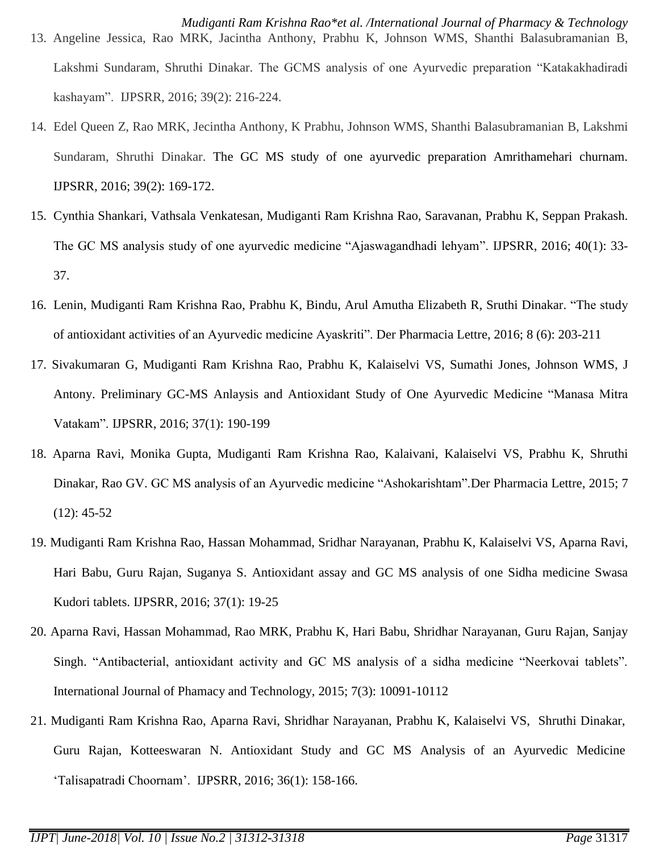- 13. Angeline Jessica, Rao MRK, Jacintha Anthony, Prabhu K, Johnson WMS, Shanthi Balasubramanian B, Lakshmi Sundaram, Shruthi Dinakar. The GCMS analysis of one Ayurvedic preparation "Katakakhadiradi kashayam". IJPSRR, 2016; 39(2): 216-224.
- 14. Edel Queen Z, Rao MRK, Jecintha Anthony, K Prabhu, Johnson WMS, Shanthi Balasubramanian B, Lakshmi Sundaram, Shruthi Dinakar. The GC MS study of one ayurvedic preparation Amrithamehari churnam. IJPSRR*,* 2016; 39(2): 169-172.
- 15. Cynthia Shankari, Vathsala Venkatesan, Mudiganti Ram Krishna Rao, Saravanan, Prabhu K, Seppan Prakash. The GC MS analysis study of one ayurvedic medicine "Ajaswagandhadi lehyam". IJPSRR, 2016; 40(1): 33- 37.
- 16. Lenin, Mudiganti Ram Krishna Rao, Prabhu K, Bindu, Arul Amutha Elizabeth R, Sruthi Dinakar. "The study of antioxidant activities of an Ayurvedic medicine Ayaskriti". Der Pharmacia Lettre, 2016; 8 (6): 203-211
- 17. Sivakumaran G, Mudiganti Ram Krishna Rao, Prabhu K, Kalaiselvi VS, Sumathi Jones, Johnson WMS, J Antony. Preliminary GC-MS Anlaysis and Antioxidant Study of One Ayurvedic Medicine "Manasa Mitra Vatakam". IJPSRR, 2016; 37(1): 190-199
- 18. Aparna Ravi, Monika Gupta, Mudiganti Ram Krishna Rao, Kalaivani, Kalaiselvi VS, Prabhu K, Shruthi Dinakar, Rao GV. GC MS analysis of an Ayurvedic medicine "Ashokarishtam".Der Pharmacia Lettre, 2015; 7  $(12): 45-52$
- 19. Mudiganti Ram Krishna Rao, Hassan Mohammad, Sridhar Narayanan, Prabhu K, Kalaiselvi VS, Aparna Ravi, Hari Babu, Guru Rajan, Suganya S. Antioxidant assay and GC MS analysis of one Sidha medicine Swasa Kudori tablets. IJPSRR, 2016; 37(1): 19-25
- 20. Aparna Ravi, Hassan Mohammad, Rao MRK, Prabhu K, Hari Babu, Shridhar Narayanan, Guru Rajan, Sanjay Singh. "Antibacterial, antioxidant activity and GC MS analysis of a sidha medicine "Neerkovai tablets". International Journal of Phamacy and Technology, 2015; 7(3): 10091-10112
- 21. Mudiganti Ram Krishna Rao, Aparna Ravi, Shridhar Narayanan, Prabhu K, Kalaiselvi VS, Shruthi Dinakar, Guru Rajan, Kotteeswaran N. Antioxidant Study and GC MS Analysis of an Ayurvedic Medicine "Talisapatradi Choornam". IJPSRR, 2016; 36(1): 158-166.